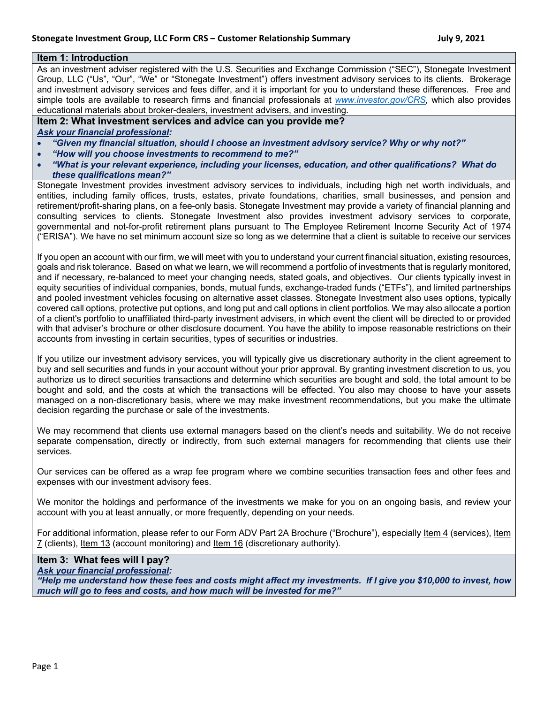## **Item 1: Introduction**

As an investment adviser registered with the U.S. Securities and Exchange Commission ("SEC"), Stonegate Investment Group, LLC ("Us", "Our", "We" or "Stonegate Investment") offers investment advisory services to its clients. Brokerage and investment advisory services and fees differ, and it is important for you to understand these differences. Free and simple tools are available to research firms and financial professionals at *www.investor.gov/CRS,* which also provides educational materials about broker-dealers, investment advisers, and investing.

## **Item 2: What investment services and advice can you provide me?**

*Ask your financial professional:*

- *"Given my financial situation, should I choose an investment advisory service? Why or why not?"*
- *"How will you choose investments to recommend to me?"*
- *"What is your relevant experience, including your licenses, education, and other qualifications? What do these qualifications mean?"*

Stonegate Investment provides investment advisory services to individuals, including high net worth individuals, and entities, including family offices, trusts, estates, private foundations, charities, small businesses, and pension and retirement/profit-sharing plans, on a fee-only basis. Stonegate Investment may provide a variety of financial planning and consulting services to clients. Stonegate Investment also provides investment advisory services to corporate, governmental and not-for-profit retirement plans pursuant to The Employee Retirement Income Security Act of 1974 ("ERISA"). We have no set minimum account size so long as we determine that a client is suitable to receive our services

If you open an account with our firm, we will meet with you to understand your current financial situation, existing resources, goals and risk tolerance. Based on what we learn, we will recommend a portfolio of investments that is regularly monitored, and if necessary, re-balanced to meet your changing needs, stated goals, and objectives. Our clients typically invest in equity securities of individual companies, bonds, mutual funds, exchange-traded funds ("ETFs"), and limited partnerships and pooled investment vehicles focusing on alternative asset classes. Stonegate Investment also uses options, typically covered call options, protective put options, and long put and call options in client portfolios. We may also allocate a portion of a client's portfolio to unaffiliated third-party investment advisers, in which event the client will be directed to or provided with that adviser's brochure or other disclosure document. You have the ability to impose reasonable restrictions on their accounts from investing in certain securities, types of securities or industries.

If you utilize our investment advisory services, you will typically give us discretionary authority in the client agreement to buy and sell securities and funds in your account without your prior approval. By granting investment discretion to us, you authorize us to direct securities transactions and determine which securities are bought and sold, the total amount to be bought and sold, and the costs at which the transactions will be effected. You also may choose to have your assets managed on a non-discretionary basis, where we may make investment recommendations, but you make the ultimate decision regarding the purchase or sale of the investments.

We may recommend that clients use external managers based on the client's needs and suitability. We do not receive separate compensation, directly or indirectly, from such external managers for recommending that clients use their services.

Our services can be offered as a wrap fee program where we combine securities transaction fees and other fees and expenses with our investment advisory fees.

We monitor the holdings and performance of the investments we make for you on an ongoing basis, and review your account with you at least annually, or more frequently, depending on your needs.

For additional information, please refer to our Form ADV Part 2A Brochure ("Brochure"), especially ltem 4 (services), ltem 7 (clients), Item 13 (account monitoring) and Item 16 (discretionary authority).

**Item 3: What fees will I pay?**

*Ask your financial professional:* 

*"Help me understand how these fees and costs might affect my investments. If I give you \$10,000 to invest, how much will go to fees and costs, and how much will be invested for me?"*